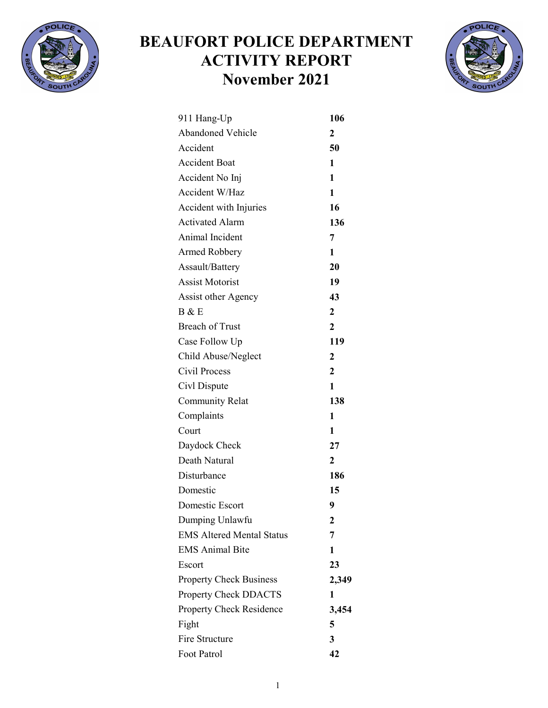

## BEAUFORT POLICE DEPARTMENT ACTIVITY REPORT November 2021



| 911 Hang-Up                      | 106                     |
|----------------------------------|-------------------------|
| <b>Abandoned Vehicle</b>         | 2                       |
| Accident                         | 50                      |
| <b>Accident Boat</b>             | 1                       |
| Accident No Inj                  | $\mathbf{1}$            |
| Accident W/Haz                   | 1                       |
| Accident with Injuries           | 16                      |
| <b>Activated Alarm</b>           | 136                     |
| Animal Incident                  | 7                       |
| <b>Armed Robbery</b>             | $\mathbf{1}$            |
| Assault/Battery                  | 20                      |
| <b>Assist Motorist</b>           | 19                      |
| Assist other Agency              | 43                      |
| B & E                            | $\overline{2}$          |
| <b>Breach of Trust</b>           | $\overline{2}$          |
| Case Follow Up                   | 119                     |
| Child Abuse/Neglect              | $\overline{2}$          |
| Civil Process                    | $\boldsymbol{2}$        |
| Civl Dispute                     | $\mathbf{1}$            |
| <b>Community Relat</b>           | 138                     |
| Complaints                       | 1                       |
| Court                            | 1                       |
| Daydock Check                    | 27                      |
| Death Natural                    | $\overline{2}$          |
| Disturbance                      | 186                     |
| Domestic                         | 15                      |
| Domestic Escort                  | 9                       |
| Dumping Unlawfu                  | $\mathbf{2}$            |
| <b>EMS Altered Mental Status</b> | 7                       |
| <b>EMS Animal Bite</b>           | 1                       |
| Escort                           | 23                      |
| <b>Property Check Business</b>   | 2,349                   |
| <b>Property Check DDACTS</b>     | 1                       |
| <b>Property Check Residence</b>  | 3,454                   |
| Fight                            | 5                       |
| Fire Structure                   | $\overline{\mathbf{3}}$ |
| Foot Patrol                      | 42                      |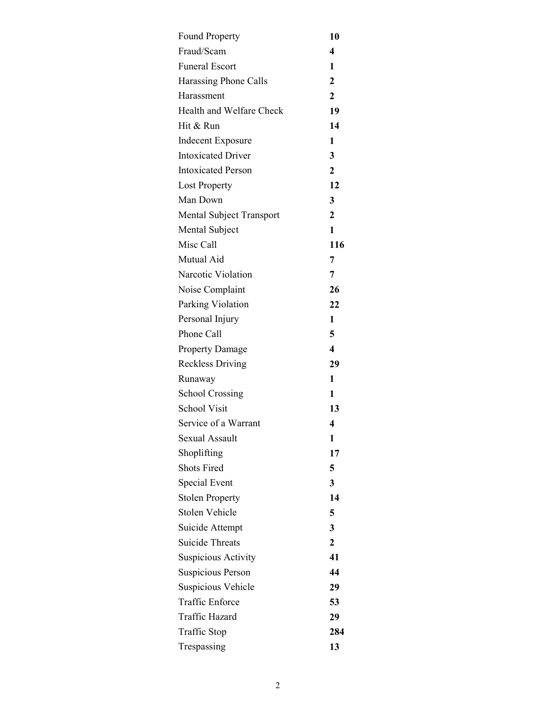| <b>Found Property</b>      | 10                      |
|----------------------------|-------------------------|
| Fraud/Scam                 | 4                       |
| <b>Funeral Escort</b>      | 1                       |
| Harassing Phone Calls      | 2                       |
| Harassment                 | 2                       |
| Health and Welfare Check   | 19                      |
| Hit & Run                  | 14                      |
| <b>Indecent Exposure</b>   | 1                       |
| <b>Intoxicated Driver</b>  | 3                       |
| <b>Intoxicated Person</b>  | $\overline{2}$          |
| <b>Lost Property</b>       | 12                      |
| Man Down                   | 3                       |
| Mental Subject Transport   | $\mathbf{2}$            |
| Mental Subject             | 1                       |
| Misc Call                  | 116                     |
| Mutual Aid                 | 7                       |
| Narcotic Violation         | 7                       |
| Noise Complaint            | 26                      |
| Parking Violation          | 22                      |
| Personal Injury            | 1                       |
| Phone Call                 | 5                       |
| <b>Property Damage</b>     | $\overline{\mathbf{4}}$ |
| <b>Reckless Driving</b>    | 29                      |
| Runaway                    | 1                       |
| <b>School Crossing</b>     | 1                       |
| <b>School Visit</b>        | 13                      |
| Service of a Warrant       | 4                       |
| <b>Sexual Assault</b>      | 1                       |
| Shoplifting                | 17                      |
| <b>Shots Fired</b>         | 5                       |
| Special Event              | 3                       |
| <b>Stolen Property</b>     | 14                      |
| Stolen Vehicle             | 5                       |
| Suicide Attempt            | 3                       |
| <b>Suicide Threats</b>     | 2                       |
| <b>Suspicious Activity</b> | 41                      |
| <b>Suspicious Person</b>   | 44                      |
| Suspicious Vehicle         | 29                      |
| <b>Traffic Enforce</b>     | 53                      |
| Traffic Hazard             | 29                      |
| Traffic Stop               | 284                     |
| Trespassing                | 13                      |